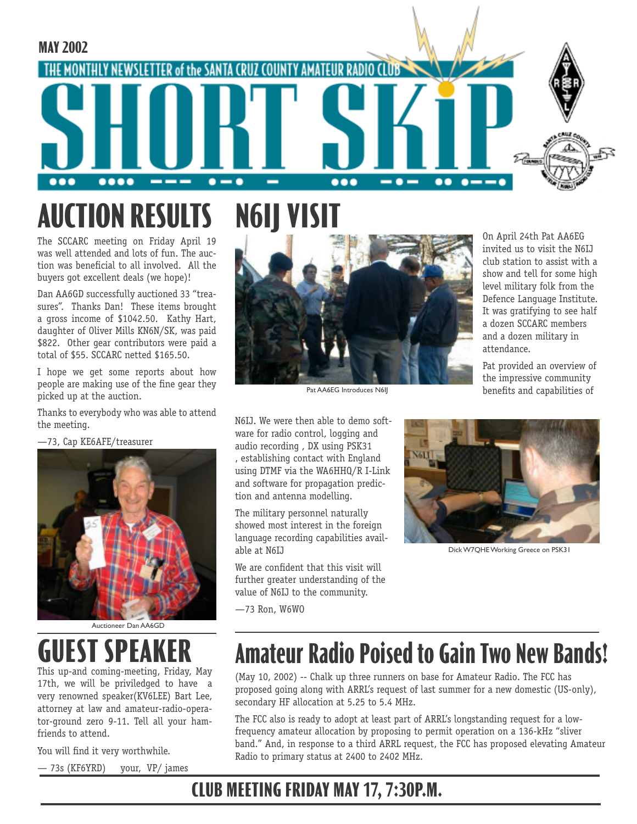

## **AUCTION RESULTS N6IJ VISI**

The SCCARC meeting on Friday April 19 was well attended and lots of fun. The auction was beneficial to all involved. All the buyers got excellent deals (we hope)!

Dan AA6GD successfully auctioned 33 "treasures". Thanks Dan! These items brought a gross income of \$1042.50. Kathy Hart, daughter of Oliver Mills KN6N/SK, was paid \$822. Other gear contributors were paid a total of \$55. SCCARC netted \$165.50.

I hope we get some reports about how people are making use of the fine gear they picked up at the auction.

Thanks to everybody who was able to attend the meeting.

—73, Cap KE6AFE/treasurer



Auctioneer Dan AA6GD

# **UEST SPEAK**

This up-and coming-meeting, Friday, May 17th, we will be priviledged to have a very renowned speaker(KV6LEE) Bart Lee, attorney at law and amateur-radio-operator-ground zero 9-11. Tell all your hamfriends to attend.

You will find it very worthwhile.

— 73s (KF6YRD) your, VP/ james



Pat AA6EG Introduces N6IJ

N6IJ. We were then able to demo software for radio control, logging and audio recording , DX using PSK31 , establishing contact with England using DTMF via the WA6HHQ/R I-Link and software for propagation prediction and antenna modelling.

The military personnel naturally showed most interest in the foreign language recording capabilities available at N6IJ

We are confident that this visit will further greater understanding of the value of N6IJ to the community.

—73 Ron, W6WO



attendance.

On April 24th Pat AA6EG invited us to visit the N6IJ club station to assist with a show and tell for some high level military folk from the Defence Language Institute. It was gratifying to see half a dozen SCCARC members and a dozen military in

Pat provided an overview of the impressive community benefits and capabilities of

Dick W7QHE Working Greece on PSK31

## **Amateur Radio Poised to Gain Two New Bands!**

(May 10, 2002) -- Chalk up three runners on base for Amateur Radio. The FCC has proposed going along with ARRL's request of last summer for a new domestic (US-only), secondary HF allocation at 5.25 to 5.4 MHz.

The FCC also is ready to adopt at least part of ARRL's longstanding request for a lowfrequency amateur allocation by proposing to permit operation on a 136-kHz "sliver band." And, in response to a third ARRL request, the FCC has proposed elevating Amateur Radio to primary status at 2400 to 2402 MHz.

## **CLUB MEETING FRIDAY MAY 17, 7:30P.M.**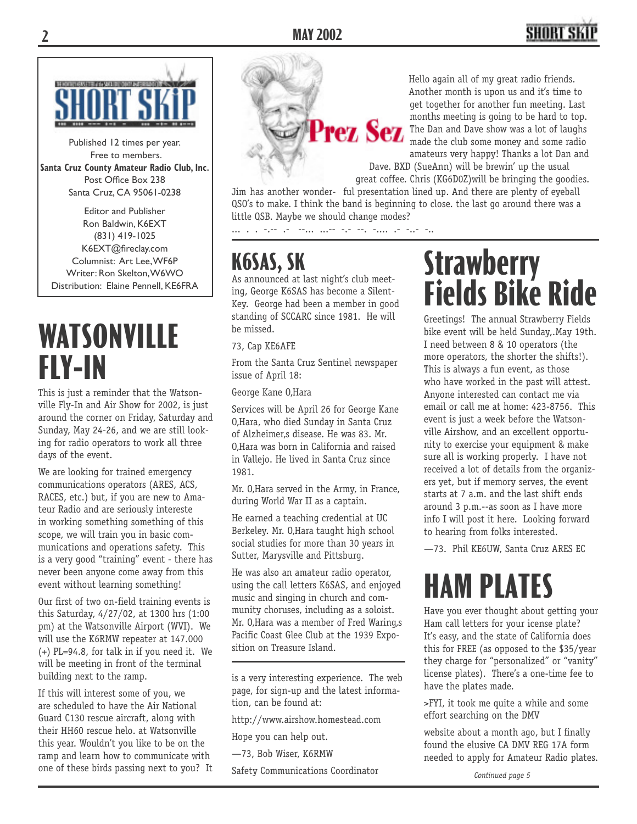## SHORT S



Published 12 times per year. Free to members. **Santa Cruz County Amateur Radio Club, Inc.** Post Office Box 238 Santa Cruz, CA 95061-0238

Editor and Publisher Ron Baldwin, K6EXT (831) 419-1025 K6EXT@fireclay.com Columnist: Art Lee, WF6P Writer: Ron Skelton, W6WO Distribution: Elaine Pennell, KE6FRA

# **WATSONVILLE FLY-IN**

This is just a reminder that the Watsonville Fly-In and Air Show for 2002, is just around the corner on Friday, Saturday and Sunday, May 24-26, and we are still looking for radio operators to work all three days of the event.

We are looking for trained emergency communications operators (ARES, ACS, RACES, etc.) but, if you are new to Amateur Radio and are seriously intereste in working something something of this scope, we will train you in basic communications and operations safety. This is a very good "training" event - there has never been anyone come away from this event without learning something!

Our first of two on-field training events is this Saturday, 4/27/02, at 1300 hrs (1:00 pm) at the Watsonville Airport (WVI). We will use the K6RMW repeater at 147.000 (+) PL=94.8, for talk in if you need it. We will be meeting in front of the terminal building next to the ramp.

If this will interest some of you, we are scheduled to have the Air National Guard C130 rescue aircraft, along with their HH60 rescue helo. at Watsonville this year. Wouldn't you like to be on the ramp and learn how to communicate with one of these birds passing next to you? It



Hello again all of my great radio friends. Another month is upon us and it's time to get together for another fun meeting. Last<br>months meeting is going to be hard to top. months meeting is going to be hard to top. The Dan and Dave show was a lot of laughs made the club some money and some radio amateurs very happy! Thanks a lot Dan and

Dave. BXD (SueAnn) will be brewin' up the usual great coffee. Chris (KG6D0Z)will be bringing the goodies.

Jim has another wonder- ful presentation lined up. And there are plenty of eyeball QSO's to make. I think the band is beginning to close. the last go around there was a little QSB. Maybe we should change modes?

... . . -.-- .- --... ...-- -.- --. -.... .- -..- -..

## **K6SAS, SK**

As announced at last night's club meeting, George K6SAS has become a Silent-Key. George had been a member in good standing of SCCARC since 1981. He will be missed.

73, Cap KE6AFE

From the Santa Cruz Sentinel newspaper issue of April 18:

George Kane O, Hara

Services will be April 26 for George Kane 0, Hara, who died Sunday in Santa Cruz of Alzheimer.s disease. He was 83. Mr. O'Hara was born in California and raised in Vallejo. He lived in Santa Cruz since 1981.

Mr. O.Hara served in the Army, in France, during World War II as a captain.

He earned a teaching credential at UC Berkeley. Mr. 0, Hara taught high school social studies for more than 30 years in Sutter, Marysville and Pittsburg.

He was also an amateur radio operator, using the call letters K6SAS, and enjoyed music and singing in church and community choruses, including as a soloist. Mr. O.Hara was a member of Fred Waring, s Pacific Coast Glee Club at the 1939 Exposition on Treasure Island.

http://www.airshow.homestead.com

Hope you can help out.

—73, Bob Wiser, K6RMW

Safety Communications Coordinator

# **Strawberry Fields Bike Ride**

Greetings! The annual Strawberry Fields bike event will be held Sunday,.May 19th. I need between 8 & 10 operators (the more operators, the shorter the shifts!). This is always a fun event, as those who have worked in the past will attest. Anyone interested can contact me via email or call me at home: 423-8756. This event is just a week before the Watsonville Airshow, and an excellent opportunity to exercise your equipment & make sure all is working properly. I have not received a lot of details from the organizers yet, but if memory serves, the event starts at 7 a.m. and the last shift ends around 3 p.m.--as soon as I have more info I will post it here. Looking forward to hearing from folks interested.

—73. Phil KE6UW, Santa Cruz ARES EC

# **HAM PLATES**

Have you ever thought about getting your Ham call letters for your icense plate? It's easy, and the state of California does this for FREE (as opposed to the \$35/year they charge for "personalized" or "vanity" license plates). There's a one-time fee to have the plates made.

>FYI, it took me quite a while and some effort searching on the DMV

website about a month ago, but I finally found the elusive CA DMV REG 17A form needed to apply for Amateur Radio plates.

is a very interesting experience. The web page, for sign-up and the latest information, can be found at: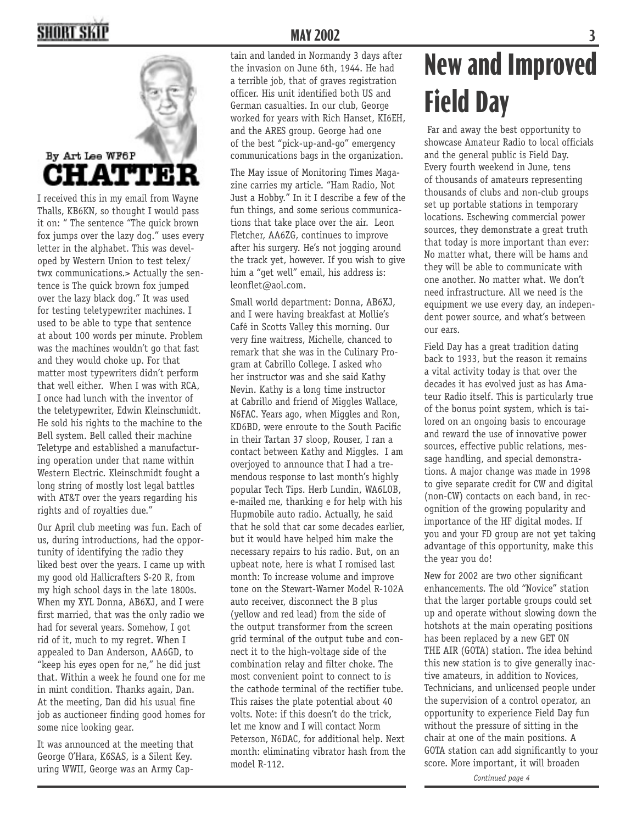## **SHORT SKI**



I received this in my email from Wayne Thalls, KB6KN, so thought I would pass it on: " The sentence "The quick brown fox jumps over the lazy dog." uses every letter in the alphabet. This was developed by Western Union to test telex/ twx communications.> Actually the sentence is The quick brown fox jumped over the lazy black dog." It was used for testing teletypewriter machines. I used to be able to type that sentence at about 100 words per minute. Problem was the machines wouldn't go that fast and they would choke up. For that matter most typewriters didn't perform that well either. When I was with RCA, I once had lunch with the inventor of the teletypewriter, Edwin Kleinschmidt. He sold his rights to the machine to the Bell system. Bell called their machine Teletype and established a manufacturing operation under that name within Western Electric. Kleinschmidt fought a long string of mostly lost legal battles with AT&T over the years regarding his rights and of royalties due."

Our April club meeting was fun. Each of us, during introductions, had the opportunity of identifying the radio they liked best over the years. I came up with my good old Hallicrafters S-20 R, from my high school days in the late 1800s. When my XYL Donna, AB6XJ, and I were first married, that was the only radio we had for several years. Somehow, I got rid of it, much to my regret. When I appealed to Dan Anderson, AA6GD, to "keep his eyes open for ne," he did just that. Within a week he found one for me in mint condition. Thanks again, Dan. At the meeting, Dan did his usual fine job as auctioneer finding good homes for some nice looking gear.

It was announced at the meeting that George O'Hara, K6SAS, is a Silent Key. uring WWII, George was an Army Cap-

## **MAY 2002 3**

tain and landed in Normandy 3 days after the invasion on June 6th, 1944. He had a terrible job, that of graves registration officer. His unit identified both US and German casualties. In our club, George worked for years with Rich Hanset, KI6EH, and the ARES group. George had one of the best "pick-up-and-go" emergency communications bags in the organization.

The May issue of Monitoring Times Magazine carries my article. "Ham Radio, Not Just a Hobby." In it I describe a few of the fun things, and some serious communications that take place over the air. Leon Fletcher, AA6ZG, continues to improve after his surgery. He's not jogging around the track yet, however. If you wish to give him a "get well" email, his address is: leonflet@aol.com.

Small world department: Donna, AB6XJ, and I were having breakfast at Mollie's Café in Scotts Valley this morning. Our very fine waitress, Michelle, chanced to remark that she was in the Culinary Program at Cabrillo College. I asked who her instructor was and she said Kathy Nevin. Kathy is a long time instructor at Cabrillo and friend of Miggles Wallace, N6FAC. Years ago, when Miggles and Ron, KD6BD, were enroute to the South Pacific in their Tartan 37 sloop, Rouser, I ran a contact between Kathy and Miggles. I am overjoyed to announce that I had a tremendous response to last month's highly popular Tech Tips. Herb Lundin, WA6LOB, e-mailed me, thanking e for help with his Hupmobile auto radio. Actually, he said that he sold that car some decades earlier, but it would have helped him make the necessary repairs to his radio. But, on an upbeat note, here is what I romised last month: To increase volume and improve tone on the Stewart-Warner Model R-102A auto receiver, disconnect the B plus (yellow and red lead) from the side of the output transformer from the screen grid terminal of the output tube and connect it to the high-voltage side of the combination relay and filter choke. The most convenient point to connect to is the cathode terminal of the rectifier tube. This raises the plate potential about 40 volts. Note: if this doesn't do the trick, let me know and I will contact Norm Peterson, N6DAC, for additional help. Next month: eliminating vibrator hash from the model R-112.

# **New and Improved Field Day**

 Far and away the best opportunity to showcase Amateur Radio to local officials and the general public is Field Day. Every fourth weekend in June, tens of thousands of amateurs representing thousands of clubs and non-club groups set up portable stations in temporary locations. Eschewing commercial power sources, they demonstrate a great truth that today is more important than ever: No matter what, there will be hams and they will be able to communicate with one another. No matter what. We don't need infrastructure. All we need is the equipment we use every day, an independent power source, and what's between our ears.

Field Day has a great tradition dating back to 1933, but the reason it remains a vital activity today is that over the decades it has evolved just as has Amateur Radio itself. This is particularly true of the bonus point system, which is tailored on an ongoing basis to encourage and reward the use of innovative power sources, effective public relations, message handling, and special demonstrations. A major change was made in 1998 to give separate credit for CW and digital (non-CW) contacts on each band, in recognition of the growing popularity and importance of the HF digital modes. If you and your FD group are not yet taking advantage of this opportunity, make this the year you do!

New for 2002 are two other significant enhancements. The old "Novice" station that the larger portable groups could set up and operate without slowing down the hotshots at the main operating positions has been replaced by a new GET ON THE AIR (GOTA) station. The idea behind this new station is to give generally inactive amateurs, in addition to Novices, Technicians, and unlicensed people under the supervision of a control operator, an opportunity to experience Field Day fun without the pressure of sitting in the chair at one of the main positions. A GOTA station can add significantly to your score. More important, it will broaden

*Continued page 4*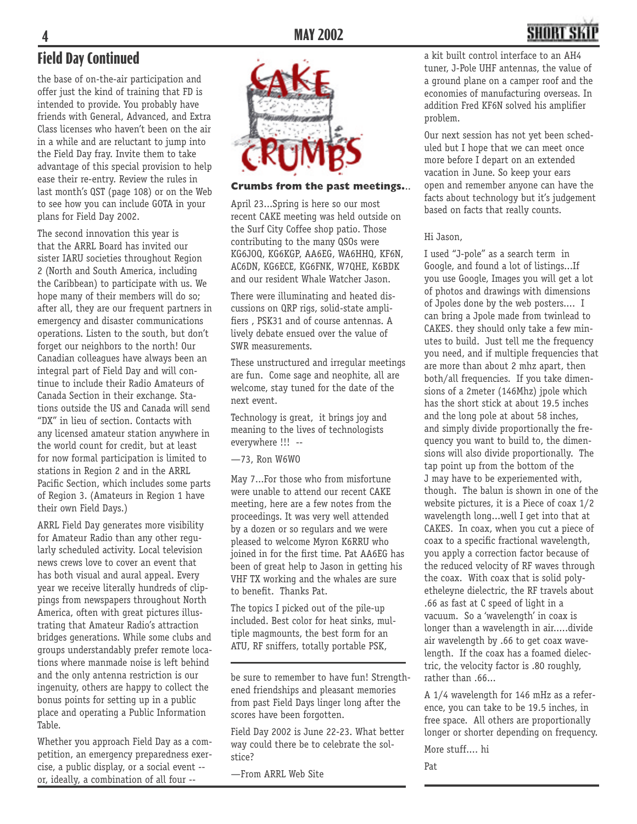## **Field Day Continued**

the base of on-the-air participation and offer just the kind of training that FD is intended to provide. You probably have friends with General, Advanced, and Extra Class licenses who haven't been on the air in a while and are reluctant to jump into the Field Day fray. Invite them to take advantage of this special provision to help ease their re-entry. Review the rules in last month's QST (page 108) or on the Web to see how you can include GOTA in your plans for Field Day 2002.

The second innovation this year is that the ARRL Board has invited our sister IARU societies throughout Region 2 (North and South America, including the Caribbean) to participate with us. We hope many of their members will do so; after all, they are our frequent partners in emergency and disaster communications operations. Listen to the south, but don't forget our neighbors to the north! Our Canadian colleagues have always been an integral part of Field Day and will continue to include their Radio Amateurs of Canada Section in their exchange. Stations outside the US and Canada will send "DX" in lieu of section. Contacts with any licensed amateur station anywhere in the world count for credit, but at least for now formal participation is limited to stations in Region 2 and in the ARRL Pacific Section, which includes some parts of Region 3. (Amateurs in Region 1 have their own Field Days.)

ARRL Field Day generates more visibility for Amateur Radio than any other regularly scheduled activity. Local television news crews love to cover an event that has both visual and aural appeal. Every year we receive literally hundreds of clippings from newspapers throughout North America, often with great pictures illustrating that Amateur Radio's attraction bridges generations. While some clubs and groups understandably prefer remote locations where manmade noise is left behind and the only antenna restriction is our ingenuity, others are happy to collect the bonus points for setting up in a public place and operating a Public Information Table.

Whether you approach Field Day as a competition, an emergency preparedness exercise, a public display, or a social event - or, ideally, a combination of all four --



#### **Crumbs from the past meetings.**..

April 23...Spring is here so our most recent CAKE meeting was held outside on the Surf City Coffee shop patio. Those contributing to the many QSOs were KG6JOQ, KG6KGP, AA6EG, WA6HHQ, KF6N, AC6DN, KG6ECE, KG6FNK, W7QHE, K6BDK and our resident Whale Watcher Jason.

There were illuminating and heated discussions on QRP rigs, solid-state amplifiers , PSK31 and of course antennas. A lively debate ensued over the value of SWR measurements.

These unstructured and irregular meetings are fun. Come sage and neophite, all are welcome, stay tuned for the date of the next event.

Technology is great, it brings joy and meaning to the lives of technologists everywhere !!! --

—73, Ron W6WO

May 7...For those who from misfortune were unable to attend our recent CAKE meeting, here are a few notes from the proceedings. It was very well attended by a dozen or so regulars and we were pleased to welcome Myron K6RRU who joined in for the first time. Pat AA6EG has been of great help to Jason in getting his VHF TX working and the whales are sure to benefit. Thanks Pat.

The topics I picked out of the pile-up included. Best color for heat sinks, multiple magmounts, the best form for an ATU, RF sniffers, totally portable PSK,

be sure to remember to have fun! Strengthened friendships and pleasant memories from past Field Days linger long after the scores have been forgotten.

Field Day 2002 is June 22-23. What better way could there be to celebrate the solstice?

—From ARRL Web Site

a kit built control interface to an AH4 tuner, J-Pole UHF antennas, the value of a ground plane on a camper roof and the economies of manufacturing overseas. In addition Fred KF6N solved his amplifier problem.

Our next session has not yet been scheduled but I hope that we can meet once more before I depart on an extended vacation in June. So keep your ears open and remember anyone can have the facts about technology but it's judgement based on facts that really counts.

#### Hi Jason,

I used "J-pole" as a search term in Google, and found a lot of listings...If you use Google, Images you will get a lot of photos and drawings with dimensions of Jpoles done by the web posters.... I can bring a Jpole made from twinlead to CAKES. they should only take a few minutes to build. Just tell me the frequency you need, and if multiple frequencies that are more than about 2 mhz apart, then both/all frequencies. If you take dimensions of a 2meter (146Mhz) jpole which has the short stick at about 19.5 inches and the long pole at about 58 inches, and simply divide proportionally the frequency you want to build to, the dimensions will also divide proportionally. The tap point up from the bottom of the J may have to be experiemented with, though. The balun is shown in one of the website pictures, it is a Piece of coax 1/2 wavelength long...well I get into that at CAKES. In coax, when you cut a piece of coax to a specific fractional wavelength, you apply a correction factor because of the reduced velocity of RF waves through the coax. With coax that is solid polyetheleyne dielectric, the RF travels about .66 as fast at C speed of light in a vacuum. So a 'wavelength' in coax is longer than a wavelength in air.....divide air wavelength by .66 to get coax wavelength. If the coax has a foamed dielectric, the velocity factor is .80 roughly, rather than .66...

A 1/4 wavelength for 146 mHz as a reference, you can take to be 19.5 inches, in free space. All others are proportionally longer or shorter depending on frequency.

More stuff.... hi

Pat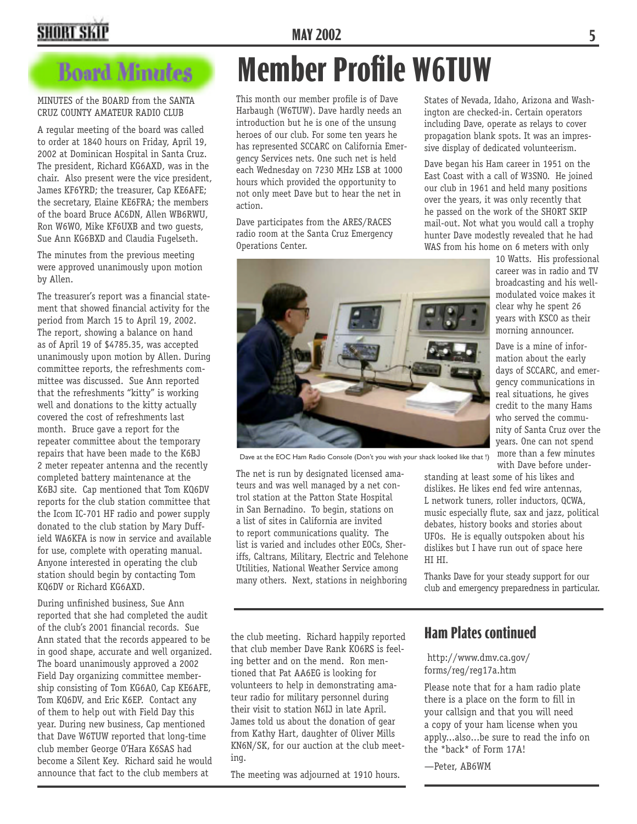## **MAY 2002 5**

## **SHORT SKII**

## **Board Minutes**

#### MINUTES of the BOARD from the SANTA CRUZ COUNTY AMATEUR RADIO CLUB

A regular meeting of the board was called to order at 1840 hours on Friday, April 19, 2002 at Dominican Hospital in Santa Cruz. The president, Richard KG6AXD, was in the chair. Also present were the vice president, James KF6YRD; the treasurer, Cap KE6AFE; the secretary, Elaine KE6FRA; the members of the board Bruce AC6DN, Allen WB6RWU, Ron W6WO, Mike KF6UXB and two guests, Sue Ann KG6BXD and Claudia Fugelseth.

The minutes from the previous meeting were approved unanimously upon motion by Allen.

The treasurer's report was a financial statement that showed financial activity for the period from March 15 to April 19, 2002. The report, showing a balance on hand as of April 19 of \$4785.35, was accepted unanimously upon motion by Allen. During committee reports, the refreshments committee was discussed. Sue Ann reported that the refreshments "kitty" is working well and donations to the kitty actually covered the cost of refreshments last month. Bruce gave a report for the repeater committee about the temporary repairs that have been made to the K6BJ 2 meter repeater antenna and the recently completed battery maintenance at the K6BJ site. Cap mentioned that Tom KQ6DV reports for the club station committee that the Icom IC-701 HF radio and power supply donated to the club station by Mary Duffield WA6KFA is now in service and available for use, complete with operating manual. Anyone interested in operating the club station should begin by contacting Tom KQ6DV or Richard KG6AXD.

During unfinished business, Sue Ann reported that she had completed the audit of the club's 2001 financial records. Sue Ann stated that the records appeared to be in good shape, accurate and well organized. The board unanimously approved a 2002 Field Day organizing committee membership consisting of Tom KG6AO, Cap KE6AFE, Tom KQ6DV, and Eric K6EP. Contact any of them to help out with Field Day this year. During new business, Cap mentioned that Dave W6TUW reported that long-time club member George O'Hara K6SAS had become a Silent Key. Richard said he would announce that fact to the club members at

# **Member Profile W6TUW**

This month our member profile is of Dave Harbaugh (W6TUW). Dave hardly needs an introduction but he is one of the unsung heroes of our club. For some ten years he has represented SCCARC on California Emergency Services nets. One such net is held each Wednesday on 7230 MHz LSB at 1000 hours which provided the opportunity to not only meet Dave but to hear the net in action.

Dave participates from the ARES/RACES radio room at the Santa Cruz Emergency Operations Center.



Dave at the EOC Ham Radio Console (Don't you wish your shack looked like that !)

The net is run by designated licensed amateurs and was well managed by a net control station at the Patton State Hospital in San Bernadino. To begin, stations on a list of sites in California are invited to report communications quality. The list is varied and includes other EOCs, Sheriffs, Caltrans, Military, Electric and Telehone Utilities, National Weather Service among many others. Next, stations in neighboring

States of Nevada, Idaho, Arizona and Washington are checked-in. Certain operators including Dave, operate as relays to cover propagation blank spots. It was an impressive display of dedicated volunteerism.

Dave began his Ham career in 1951 on the East Coast with a call of W3SNO. He joined our club in 1961 and held many positions over the years, it was only recently that he passed on the work of the SHORT SKIP mail-out. Not what you would call a trophy hunter Dave modestly revealed that he had WAS from his home on 6 meters with only

10 Watts. His professional career was in radio and TV broadcasting and his wellmodulated voice makes it clear why he spent 26 years with KSCO as their morning announcer.

Dave is a mine of information about the early days of SCCARC, and emergency communications in real situations, he gives credit to the many Hams who served the community of Santa Cruz over the years. One can not spend more than a few minutes with Dave before under-

standing at least some of his likes and dislikes. He likes end fed wire antennas, L network tuners, roller inductors, QCWA, music especially flute, sax and jazz, political debates, history books and stories about UFOs. He is equally outspoken about his dislikes but I have run out of space here HI HI.

Thanks Dave for your steady support for our club and emergency preparedness in particular.

the club meeting. Richard happily reported that club member Dave Rank KO6RS is feeling better and on the mend. Ron mentioned that Pat AA6EG is looking for volunteers to help in demonstrating amateur radio for military personnel during their visit to station N6IJ in late April. James told us about the donation of gear from Kathy Hart, daughter of Oliver Mills KN6N/SK, for our auction at the club meeting.

The meeting was adjourned at 1910 hours.

### **Ham Plates continued**

 http://www.dmv.ca.gov/ forms/reg/reg17a.htm

Please note that for a ham radio plate there is a place on the form to fill in your callsign and that you will need a copy of your ham license when you apply...also...be sure to read the info on the \*back\* of Form 17A!

—Peter, AB6WM